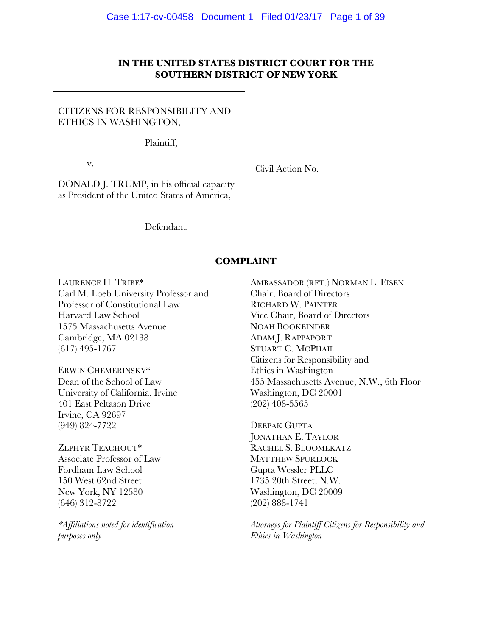# **IN THE UNITED STATES DISTRICT COURT FOR THE SOUTHERN DISTRICT OF NEW YORK**

CITIZENS FOR RESPONSIBILITY AND ETHICS IN WASHINGTON,

Plaintiff,

v.

Civil Action No.

DONALD J. TRUMP, in his official capacity as President of the United States of America,

Defendant.

### **COMPLAINT**

LAURENCE H. TRIBE\* Carl M. Loeb University Professor and Professor of Constitutional Law Harvard Law School 1575 Massachusetts Avenue Cambridge, MA 02138 (617) 495-1767

ERWIN CHEMERINSKY\* Dean of the School of Law University of California, Irvine 401 East Peltason Drive Irvine, CA 92697 (949) 824-7722

ZEPHYR TEACHOUT\* Associate Professor of Law Fordham Law School 150 West 62nd Street New York, NY 12580 (646) 312-8722

*\*Affiliations noted for identification purposes only*

AMBASSADOR (RET.) NORMAN L. EISEN Chair, Board of Directors RICHARD W. PAINTER Vice Chair, Board of Directors NOAH BOOKBINDER ADAM J. RAPPAPORT STUART C. MCPHAIL Citizens for Responsibility and Ethics in Washington 455 Massachusetts Avenue, N.W., 6th Floor Washington, DC 20001 (202) 408-5565

DEEPAK GUPTA JONATHAN E. TAYLOR RACHEL S. BLOOMEKATZ MATTHEW SPURLOCK Gupta Wessler PLLC 1735 20th Street, N.W. Washington, DC 20009 (202) 888-1741

*Attorneys for Plaintiff Citizens for Responsibility and Ethics in Washington*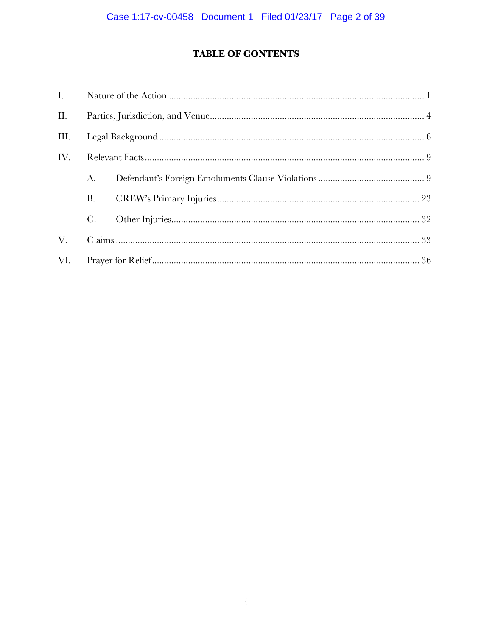# **TABLE OF CONTENTS**

| $\mathbf{I}$ . |                |  |  |
|----------------|----------------|--|--|
| II.            |                |  |  |
| III.           |                |  |  |
| IV.            |                |  |  |
|                | A.             |  |  |
|                | <b>B.</b>      |  |  |
|                | $\mathcal{C}.$ |  |  |
| V.             |                |  |  |
| VI.            |                |  |  |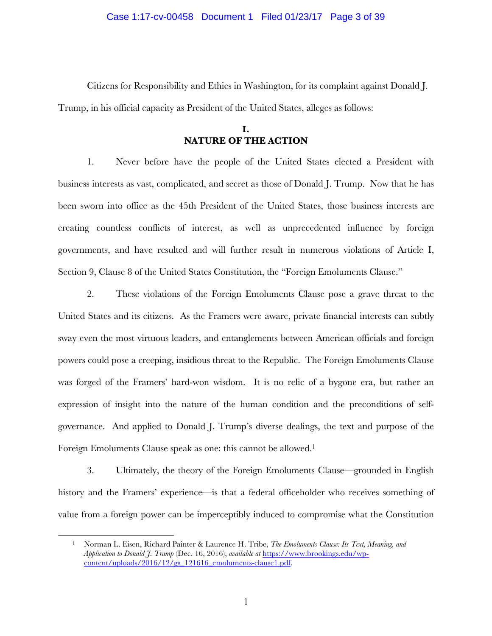#### Case 1:17-cv-00458 Document 1 Filed 01/23/17 Page 3 of 39

Citizens for Responsibility and Ethics in Washington, for its complaint against Donald J. Trump, in his official capacity as President of the United States, alleges as follows:

# **I. NATURE OF THE ACTION**

1. Never before have the people of the United States elected a President with business interests as vast, complicated, and secret as those of Donald J. Trump. Now that he has been sworn into office as the 45th President of the United States, those business interests are creating countless conflicts of interest, as well as unprecedented influence by foreign governments, and have resulted and will further result in numerous violations of Article I, Section 9, Clause 8 of the United States Constitution, the "Foreign Emoluments Clause."

2. These violations of the Foreign Emoluments Clause pose a grave threat to the United States and its citizens. As the Framers were aware, private financial interests can subtly sway even the most virtuous leaders, and entanglements between American officials and foreign powers could pose a creeping, insidious threat to the Republic. The Foreign Emoluments Clause was forged of the Framers' hard-won wisdom. It is no relic of a bygone era, but rather an expression of insight into the nature of the human condition and the preconditions of selfgovernance. And applied to Donald J. Trump's diverse dealings, the text and purpose of the Foreign Emoluments Clause speak as one: this cannot be allowed.1

3. Ultimately, the theory of the Foreign Emoluments Clause—grounded in English history and the Framers' experience—is that a federal officeholder who receives something of value from a foreign power can be imperceptibly induced to compromise what the Constitution

<sup>1</sup> Norman L. Eisen, Richard Painter & Laurence H. Tribe, *The Emoluments Clause: Its Text, Meaning, and Application to Donald J. Trump* (Dec. 16, 2016), *available at* https://www.brookings.edu/wpcontent/uploads/2016/12/gs\_121616\_emoluments-clause1.pdf.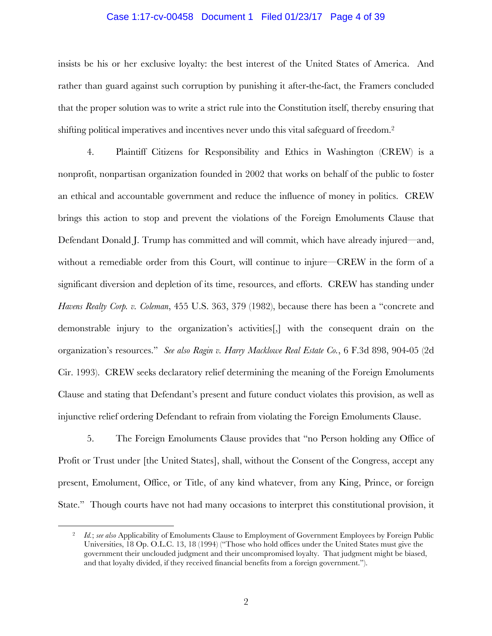#### Case 1:17-cv-00458 Document 1 Filed 01/23/17 Page 4 of 39

insists be his or her exclusive loyalty: the best interest of the United States of America. And rather than guard against such corruption by punishing it after-the-fact, the Framers concluded that the proper solution was to write a strict rule into the Constitution itself, thereby ensuring that shifting political imperatives and incentives never undo this vital safeguard of freedom.2

4. Plaintiff Citizens for Responsibility and Ethics in Washington (CREW) is a nonprofit, nonpartisan organization founded in 2002 that works on behalf of the public to foster an ethical and accountable government and reduce the influence of money in politics. CREW brings this action to stop and prevent the violations of the Foreign Emoluments Clause that Defendant Donald J. Trump has committed and will commit, which have already injured—and, without a remediable order from this Court, will continue to injure—CREW in the form of a significant diversion and depletion of its time, resources, and efforts. CREW has standing under *Havens Realty Corp. v. Coleman*, 455 U.S. 363, 379 (1982), because there has been a "concrete and demonstrable injury to the organization's activities[,] with the consequent drain on the organization's resources." *See also Ragin v. Harry Macklowe Real Estate Co.*, 6 F.3d 898, 904-05 (2d Cir. 1993). CREW seeks declaratory relief determining the meaning of the Foreign Emoluments Clause and stating that Defendant's present and future conduct violates this provision, as well as injunctive relief ordering Defendant to refrain from violating the Foreign Emoluments Clause.

5. The Foreign Emoluments Clause provides that "no Person holding any Office of Profit or Trust under [the United States], shall, without the Consent of the Congress, accept any present, Emolument, Office, or Title, of any kind whatever, from any King, Prince, or foreign State." Though courts have not had many occasions to interpret this constitutional provision, it

<sup>&</sup>lt;sup>2</sup> *Id.*; *see also* Applicability of Emoluments Clause to Employment of Government Employees by Foreign Public Universities, 18 Op. O.L.C. 13, 18 (1994) ("Those who hold offices under the United States must give the government their unclouded judgment and their uncompromised loyalty. That judgment might be biased, and that loyalty divided, if they received financial benefits from a foreign government.").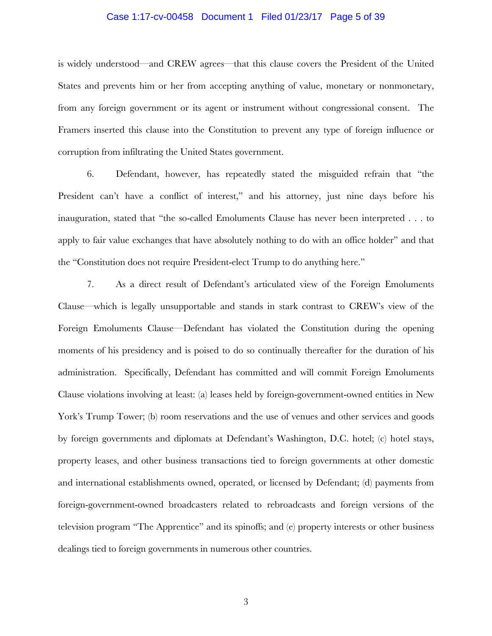#### Case 1:17-cv-00458 Document 1 Filed 01/23/17 Page 5 of 39

is widely understood—and CREW agrees—that this clause covers the President of the United States and prevents him or her from accepting anything of value, monetary or nonmonetary, from any foreign government or its agent or instrument without congressional consent. The Framers inserted this clause into the Constitution to prevent any type of foreign influence or corruption from infiltrating the United States government.

6. Defendant, however, has repeatedly stated the misguided refrain that "the President can't have a conflict of interest," and his attorney, just nine days before his inauguration, stated that "the so-called Emoluments Clause has never been interpreted . . . to apply to fair value exchanges that have absolutely nothing to do with an office holder" and that the "Constitution does not require President-elect Trump to do anything here."

7. As a direct result of Defendant's articulated view of the Foreign Emoluments Clause—which is legally unsupportable and stands in stark contrast to CREW's view of the Foreign Emoluments Clause—Defendant has violated the Constitution during the opening moments of his presidency and is poised to do so continually thereafter for the duration of his administration. Specifically, Defendant has committed and will commit Foreign Emoluments Clause violations involving at least: (a) leases held by foreign-government-owned entities in New York's Trump Tower; (b) room reservations and the use of venues and other services and goods by foreign governments and diplomats at Defendant's Washington, D.C. hotel; (c) hotel stays, property leases, and other business transactions tied to foreign governments at other domestic and international establishments owned, operated, or licensed by Defendant; (d) payments from foreign-government-owned broadcasters related to rebroadcasts and foreign versions of the television program "The Apprentice" and its spinoffs; and (e) property interests or other business dealings tied to foreign governments in numerous other countries.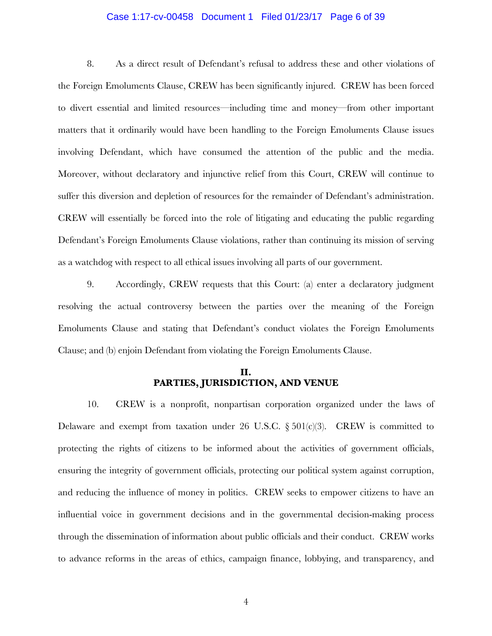#### Case 1:17-cv-00458 Document 1 Filed 01/23/17 Page 6 of 39

8. As a direct result of Defendant's refusal to address these and other violations of the Foreign Emoluments Clause, CREW has been significantly injured. CREW has been forced to divert essential and limited resources—including time and money—from other important matters that it ordinarily would have been handling to the Foreign Emoluments Clause issues involving Defendant, which have consumed the attention of the public and the media. Moreover, without declaratory and injunctive relief from this Court, CREW will continue to suffer this diversion and depletion of resources for the remainder of Defendant's administration. CREW will essentially be forced into the role of litigating and educating the public regarding Defendant's Foreign Emoluments Clause violations, rather than continuing its mission of serving as a watchdog with respect to all ethical issues involving all parts of our government.

9. Accordingly, CREW requests that this Court: (a) enter a declaratory judgment resolving the actual controversy between the parties over the meaning of the Foreign Emoluments Clause and stating that Defendant's conduct violates the Foreign Emoluments Clause; and (b) enjoin Defendant from violating the Foreign Emoluments Clause.

# **II. PARTIES, JURISDICTION, AND VENUE**

10. CREW is a nonprofit, nonpartisan corporation organized under the laws of Delaware and exempt from taxation under 26 U.S.C.  $\S 501(c)(3)$ . CREW is committed to protecting the rights of citizens to be informed about the activities of government officials, ensuring the integrity of government officials, protecting our political system against corruption, and reducing the influence of money in politics. CREW seeks to empower citizens to have an influential voice in government decisions and in the governmental decision-making process through the dissemination of information about public officials and their conduct. CREW works to advance reforms in the areas of ethics, campaign finance, lobbying, and transparency, and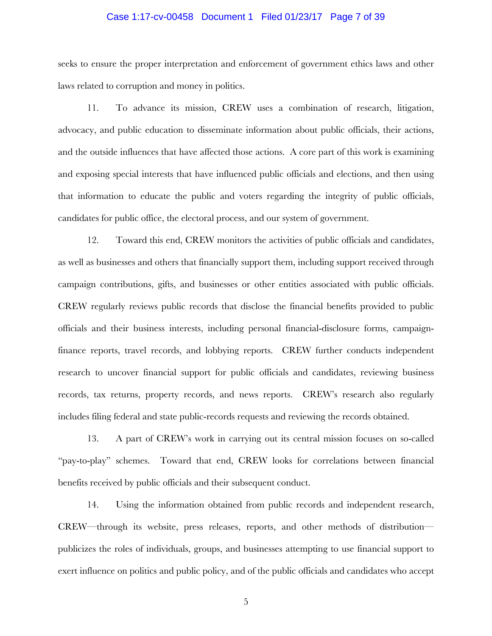#### Case 1:17-cv-00458 Document 1 Filed 01/23/17 Page 7 of 39

seeks to ensure the proper interpretation and enforcement of government ethics laws and other laws related to corruption and money in politics.

11. To advance its mission, CREW uses a combination of research, litigation, advocacy, and public education to disseminate information about public officials, their actions, and the outside influences that have affected those actions. A core part of this work is examining and exposing special interests that have influenced public officials and elections, and then using that information to educate the public and voters regarding the integrity of public officials, candidates for public office, the electoral process, and our system of government.

12. Toward this end, CREW monitors the activities of public officials and candidates, as well as businesses and others that financially support them, including support received through campaign contributions, gifts, and businesses or other entities associated with public officials. CREW regularly reviews public records that disclose the financial benefits provided to public officials and their business interests, including personal financial-disclosure forms, campaignfinance reports, travel records, and lobbying reports. CREW further conducts independent research to uncover financial support for public officials and candidates, reviewing business records, tax returns, property records, and news reports. CREW's research also regularly includes filing federal and state public-records requests and reviewing the records obtained.

13. A part of CREW's work in carrying out its central mission focuses on so-called "pay-to-play" schemes. Toward that end, CREW looks for correlations between financial benefits received by public officials and their subsequent conduct.

14. Using the information obtained from public records and independent research, CREW—through its website, press releases, reports, and other methods of distribution publicizes the roles of individuals, groups, and businesses attempting to use financial support to exert influence on politics and public policy, and of the public officials and candidates who accept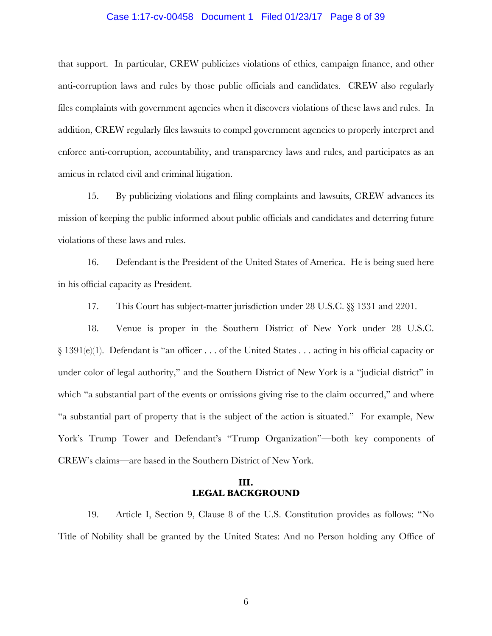#### Case 1:17-cv-00458 Document 1 Filed 01/23/17 Page 8 of 39

that support. In particular, CREW publicizes violations of ethics, campaign finance, and other anti-corruption laws and rules by those public officials and candidates. CREW also regularly files complaints with government agencies when it discovers violations of these laws and rules. In addition, CREW regularly files lawsuits to compel government agencies to properly interpret and enforce anti-corruption, accountability, and transparency laws and rules, and participates as an amicus in related civil and criminal litigation.

15. By publicizing violations and filing complaints and lawsuits, CREW advances its mission of keeping the public informed about public officials and candidates and deterring future violations of these laws and rules.

16. Defendant is the President of the United States of America. He is being sued here in his official capacity as President.

17. This Court has subject-matter jurisdiction under 28 U.S.C. §§ 1331 and 2201.

18. Venue is proper in the Southern District of New York under 28 U.S.C. § 1391(e)(1). Defendant is "an officer . . . of the United States . . . acting in his official capacity or under color of legal authority," and the Southern District of New York is a "judicial district" in which "a substantial part of the events or omissions giving rise to the claim occurred," and where "a substantial part of property that is the subject of the action is situated." For example, New York's Trump Tower and Defendant's "Trump Organization"—both key components of CREW's claims—are based in the Southern District of New York.

### **III. LEGAL BACKGROUND**

19. Article I, Section 9, Clause 8 of the U.S. Constitution provides as follows: "No Title of Nobility shall be granted by the United States: And no Person holding any Office of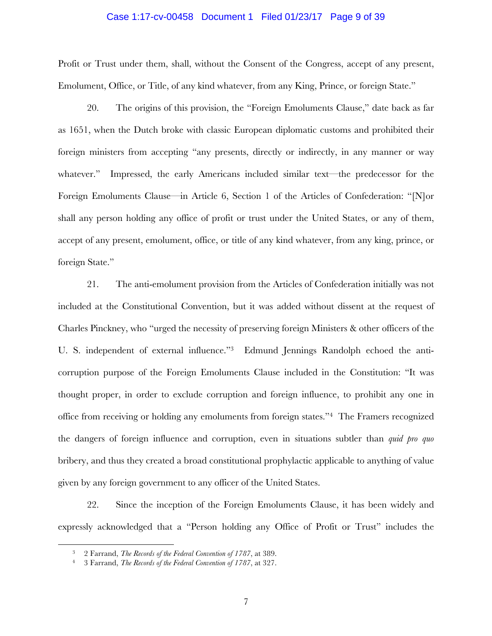#### Case 1:17-cv-00458 Document 1 Filed 01/23/17 Page 9 of 39

Profit or Trust under them, shall, without the Consent of the Congress, accept of any present, Emolument, Office, or Title, of any kind whatever, from any King, Prince, or foreign State."

20. The origins of this provision, the "Foreign Emoluments Clause," date back as far as 1651, when the Dutch broke with classic European diplomatic customs and prohibited their foreign ministers from accepting "any presents, directly or indirectly, in any manner or way whatever." Impressed, the early Americans included similar text—the predecessor for the Foreign Emoluments Clause—in Article 6, Section 1 of the Articles of Confederation: "[N]or shall any person holding any office of profit or trust under the United States, or any of them, accept of any present, emolument, office, or title of any kind whatever, from any king, prince, or foreign State."

21. The anti-emolument provision from the Articles of Confederation initially was not included at the Constitutional Convention, but it was added without dissent at the request of Charles Pinckney, who "urged the necessity of preserving foreign Ministers & other officers of the U. S. independent of external influence."3 Edmund Jennings Randolph echoed the anticorruption purpose of the Foreign Emoluments Clause included in the Constitution: "It was thought proper, in order to exclude corruption and foreign influence, to prohibit any one in office from receiving or holding any emoluments from foreign states."4 The Framers recognized the dangers of foreign influence and corruption, even in situations subtler than *quid pro quo* bribery, and thus they created a broad constitutional prophylactic applicable to anything of value given by any foreign government to any officer of the United States.

22. Since the inception of the Foreign Emoluments Clause, it has been widely and expressly acknowledged that a "Person holding any Office of Profit or Trust" includes the

<sup>3</sup> 2 Farrand, *The Records of the Federal Convention of 1787*, at 389.

<sup>4</sup> 3 Farrand, *The Records of the Federal Convention of 1787*, at 327.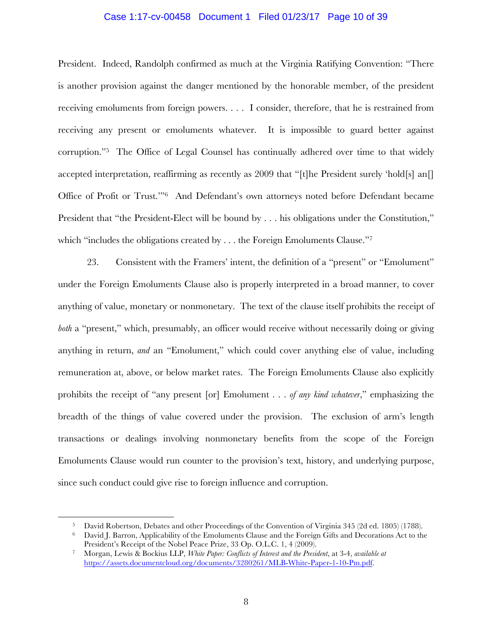#### Case 1:17-cv-00458 Document 1 Filed 01/23/17 Page 10 of 39

President. Indeed, Randolph confirmed as much at the Virginia Ratifying Convention: "There is another provision against the danger mentioned by the honorable member, of the president receiving emoluments from foreign powers. . . . I consider, therefore, that he is restrained from receiving any present or emoluments whatever. It is impossible to guard better against corruption."5 The Office of Legal Counsel has continually adhered over time to that widely accepted interpretation, reaffirming as recently as 2009 that "[t]he President surely 'hold[s] an $\Pi$ Office of Profit or Trust.'"6 And Defendant's own attorneys noted before Defendant became President that "the President-Elect will be bound by . . . his obligations under the Constitution," which "includes the obligations created by . . . the Foreign Emoluments Clause."<sup>7</sup>

23. Consistent with the Framers' intent, the definition of a "present" or "Emolument" under the Foreign Emoluments Clause also is properly interpreted in a broad manner, to cover anything of value, monetary or nonmonetary. The text of the clause itself prohibits the receipt of *both* a "present," which, presumably, an officer would receive without necessarily doing or giving anything in return, *and* an "Emolument," which could cover anything else of value, including remuneration at, above, or below market rates. The Foreign Emoluments Clause also explicitly prohibits the receipt of "any present [or] Emolument . . . *of any kind whatever*," emphasizing the breadth of the things of value covered under the provision. The exclusion of arm's length transactions or dealings involving nonmonetary benefits from the scope of the Foreign Emoluments Clause would run counter to the provision's text, history, and underlying purpose, since such conduct could give rise to foreign influence and corruption.

<sup>5</sup> David Robertson, Debates and other Proceedings of the Convention of Virginia 345 (2d ed. 1805) (1788).

<sup>6</sup> David J. Barron, Applicability of the Emoluments Clause and the Foreign Gifts and Decorations Act to the President's Receipt of the Nobel Peace Prize, 33 Op. O.L.C. 1, 4 (2009).

<sup>7</sup> Morgan, Lewis & Bockius LLP, *White Paper: Conflicts of Interest and the President*, at 3-4, *available at* https://assets.documentcloud.org/documents/3280261/MLB-White-Paper-1-10-Pm.pdf.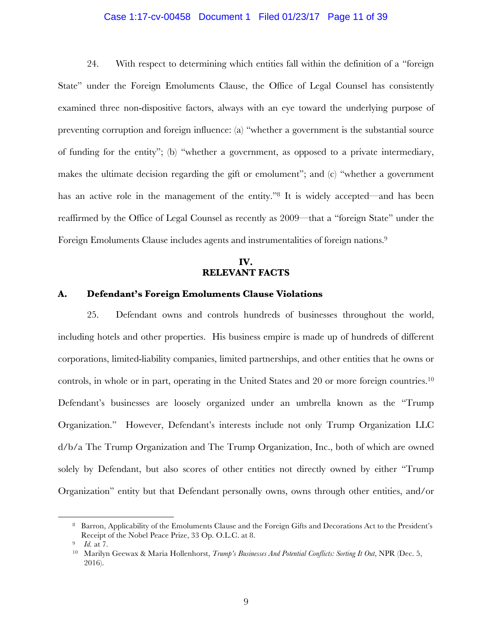#### Case 1:17-cv-00458 Document 1 Filed 01/23/17 Page 11 of 39

24. With respect to determining which entities fall within the definition of a "foreign State" under the Foreign Emoluments Clause, the Office of Legal Counsel has consistently examined three non-dispositive factors, always with an eye toward the underlying purpose of preventing corruption and foreign influence: (a) "whether a government is the substantial source of funding for the entity"; (b) "whether a government, as opposed to a private intermediary, makes the ultimate decision regarding the gift or emolument"; and (c) "whether a government has an active role in the management of the entity."<sup>8</sup> It is widely accepted—and has been reaffirmed by the Office of Legal Counsel as recently as 2009—that a "foreign State" under the Foreign Emoluments Clause includes agents and instrumentalities of foreign nations.9

## **IV. RELEVANT FACTS**

### **A. Defendant's Foreign Emoluments Clause Violations**

25. Defendant owns and controls hundreds of businesses throughout the world, including hotels and other properties. His business empire is made up of hundreds of different corporations, limited-liability companies, limited partnerships, and other entities that he owns or controls, in whole or in part, operating in the United States and 20 or more foreign countries.10 Defendant's businesses are loosely organized under an umbrella known as the "Trump Organization." However, Defendant's interests include not only Trump Organization LLC d/b/a The Trump Organization and The Trump Organization, Inc., both of which are owned solely by Defendant, but also scores of other entities not directly owned by either "Trump" Organization" entity but that Defendant personally owns, owns through other entities, and/or

<sup>8</sup> Barron, Applicability of the Emoluments Clause and the Foreign Gifts and Decorations Act to the President's Receipt of the Nobel Peace Prize, 33 Op. O.L.C. at 8.

<sup>9</sup> *Id.* at 7.

<sup>10</sup> Marilyn Geewax & Maria Hollenhorst, *Trump's Businesses And Potential Conflicts: Sorting It Out*, NPR (Dec. 5, 2016).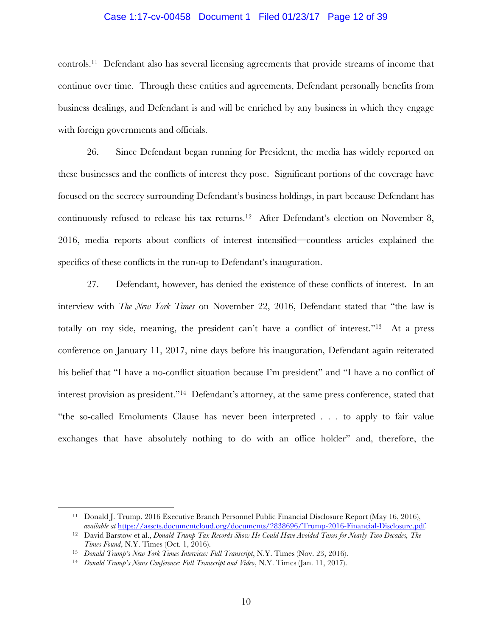#### Case 1:17-cv-00458 Document 1 Filed 01/23/17 Page 12 of 39

controls.11 Defendant also has several licensing agreements that provide streams of income that continue over time. Through these entities and agreements, Defendant personally benefits from business dealings, and Defendant is and will be enriched by any business in which they engage with foreign governments and officials.

26. Since Defendant began running for President, the media has widely reported on these businesses and the conflicts of interest they pose. Significant portions of the coverage have focused on the secrecy surrounding Defendant's business holdings, in part because Defendant has continuously refused to release his tax returns.12 After Defendant's election on November 8, 2016, media reports about conflicts of interest intensified—countless articles explained the specifics of these conflicts in the run-up to Defendant's inauguration.

27. Defendant, however, has denied the existence of these conflicts of interest. In an interview with *The New York Times* on November 22, 2016, Defendant stated that "the law is totally on my side, meaning, the president can't have a conflict of interest."13 At a press conference on January 11, 2017, nine days before his inauguration, Defendant again reiterated his belief that "I have a no-conflict situation because I'm president" and "I have a no conflict of interest provision as president."14 Defendant's attorney, at the same press conference, stated that "the so-called Emoluments Clause has never been interpreted . . . to apply to fair value exchanges that have absolutely nothing to do with an office holder" and, therefore, the

<sup>11</sup> Donald J. Trump, 2016 Executive Branch Personnel Public Financial Disclosure Report (May 16, 2016), available at https://assets.documentcloud.org/documents/2838696/Trump-2016-Financial-Disclosure.pdf.<br><sup>12</sup> David Barstow et al., *Donald Trump Tax Records Show He Could Have Avoided Taxes for Nearly Two Decades, The* 

*Times Found*, N.Y. Times (Oct. 1, 2016).

<sup>&</sup>lt;sup>13</sup> *Donald Trump's New York Times Interview: Full Transcript*, N.Y. Times (Nov. 23, 2016).

<sup>14</sup> *Donald Trump's News Conference: Full Transcript and Video*, N.Y. Times (Jan. 11, 2017).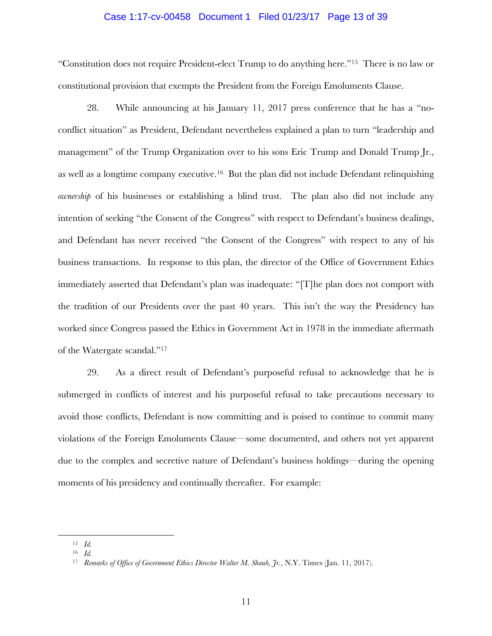#### Case 1:17-cv-00458 Document 1 Filed 01/23/17 Page 13 of 39

"Constitution does not require President-elect Trump to do anything here."15 There is no law or constitutional provision that exempts the President from the Foreign Emoluments Clause.

28. While announcing at his January 11, 2017 press conference that he has a "noconflict situation" as President, Defendant nevertheless explained a plan to turn "leadership and management" of the Trump Organization over to his sons Eric Trump and Donald Trump Jr., as well as a longtime company executive.16 But the plan did not include Defendant relinquishing *ownership* of his businesses or establishing a blind trust. The plan also did not include any intention of seeking "the Consent of the Congress" with respect to Defendant's business dealings, and Defendant has never received "the Consent of the Congress" with respect to any of his business transactions. In response to this plan, the director of the Office of Government Ethics immediately asserted that Defendant's plan was inadequate: "[T]he plan does not comport with the tradition of our Presidents over the past 40 years. This isn't the way the Presidency has worked since Congress passed the Ethics in Government Act in 1978 in the immediate aftermath of the Watergate scandal."17

29. As a direct result of Defendant's purposeful refusal to acknowledge that he is submerged in conflicts of interest and his purposeful refusal to take precautions necessary to avoid those conflicts, Defendant is now committing and is poised to continue to commit many violations of the Foreign Emoluments Clause—some documented, and others not yet apparent due to the complex and secretive nature of Defendant's business holdings—during the opening moments of his presidency and continually thereafter. For example:

<sup>15</sup> *Id.*

<sup>16</sup> *Id.*

<sup>17</sup> *Remarks of Office of Government Ethics Director Walter M. Shaub, Jr.*, N.Y. Times (Jan. 11, 2017).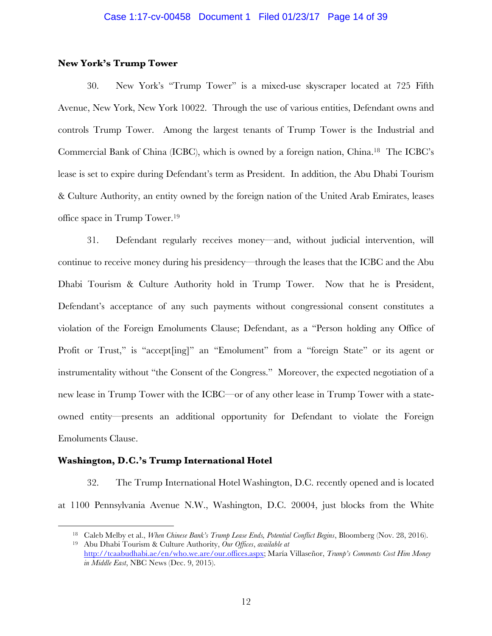#### **New York's Trump Tower**

30. New York's "Trump Tower" is a mixed-use skyscraper located at 725 Fifth Avenue, New York, New York 10022. Through the use of various entities, Defendant owns and controls Trump Tower. Among the largest tenants of Trump Tower is the Industrial and Commercial Bank of China (ICBC), which is owned by a foreign nation, China.18 The ICBC's lease is set to expire during Defendant's term as President. In addition, the Abu Dhabi Tourism & Culture Authority, an entity owned by the foreign nation of the United Arab Emirates, leases office space in Trump Tower.19

31. Defendant regularly receives money—and, without judicial intervention, will continue to receive money during his presidency—through the leases that the ICBC and the Abu Dhabi Tourism & Culture Authority hold in Trump Tower. Now that he is President, Defendant's acceptance of any such payments without congressional consent constitutes a violation of the Foreign Emoluments Clause; Defendant, as a "Person holding any Office of Profit or Trust," is "accept[ing]" an "Emolument" from a "foreign State" or its agent or instrumentality without "the Consent of the Congress." Moreover, the expected negotiation of a new lease in Trump Tower with the ICBC—or of any other lease in Trump Tower with a stateowned entity—presents an additional opportunity for Defendant to violate the Foreign Emoluments Clause.

### **Washington, D.C.'s Trump International Hotel**

1

32. The Trump International Hotel Washington, D.C. recently opened and is located at 1100 Pennsylvania Avenue N.W., Washington, D.C. 20004, just blocks from the White

<sup>18</sup> Caleb Melby et al., *When Chinese Bank's Trump Lease Ends, Potential Conflict Begins*, Bloomberg (Nov. 28, 2016).

<sup>19</sup> Abu Dhabi Tourism & Culture Authority, *Our Offices*, *available at*  http://tcaabudhabi.ae/en/who.we.are/our.offices.aspx; María Villaseñor, *Trump's Comments Cost Him Money in Middle East*, NBC News (Dec. 9, 2015).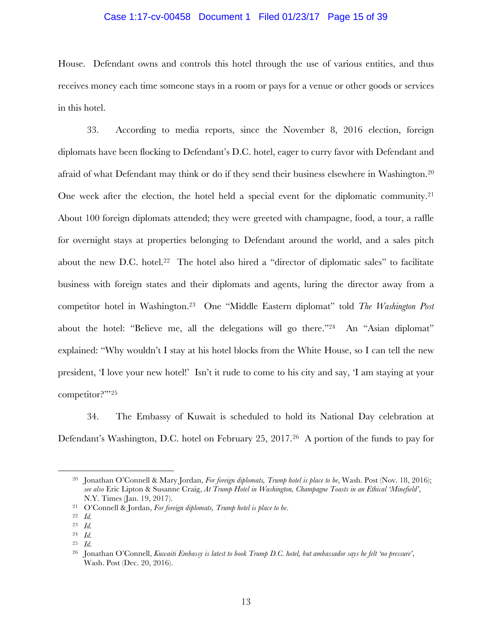#### Case 1:17-cv-00458 Document 1 Filed 01/23/17 Page 15 of 39

House. Defendant owns and controls this hotel through the use of various entities, and thus receives money each time someone stays in a room or pays for a venue or other goods or services in this hotel.

33. According to media reports, since the November 8, 2016 election, foreign diplomats have been flocking to Defendant's D.C. hotel, eager to curry favor with Defendant and afraid of what Defendant may think or do if they send their business elsewhere in Washington.20 One week after the election, the hotel held a special event for the diplomatic community.21 About 100 foreign diplomats attended; they were greeted with champagne, food, a tour, a raffle for overnight stays at properties belonging to Defendant around the world, and a sales pitch about the new D.C. hotel.<sup>22</sup> The hotel also hired a "director of diplomatic sales" to facilitate business with foreign states and their diplomats and agents, luring the director away from a competitor hotel in Washington. <sup>23</sup> One "Middle Eastern diplomat" told *The Washington Post* about the hotel: "Believe me, all the delegations will go there."24 An "Asian diplomat" explained: "Why wouldn't I stay at his hotel blocks from the White House, so I can tell the new president, 'I love your new hotel!' Isn't it rude to come to his city and say, 'I am staying at your competitor?""25

34. The Embassy of Kuwait is scheduled to hold its National Day celebration at Defendant's Washington, D.C. hotel on February 25, 2017.26 A portion of the funds to pay for

<sup>20</sup> Jonathan O'Connell & Mary Jordan, *For foreign diplomats, Trump hotel is place to be*, Wash. Post (Nov. 18, 2016); *see also* Eric Lipton & Susanne Craig, *At Trump Hotel in Washington, Champagne Toasts in an Ethical 'Minefield'*, N.Y. Times (Jan. 19, 2017).

<sup>21</sup> O'Connell & Jordan, *For foreign diplomats, Trump hotel is place to be*.

<sup>22</sup> *Id.*

<sup>23</sup> *Id.*

<sup>24</sup> *Id.* <sup>25</sup> *Id.*

<sup>26</sup> Jonathan O'Connell, *Kuwaiti Embassy is latest to book Trump D.C. hotel, but ambassador says he felt 'no pressure'*, Wash. Post (Dec. 20, 2016).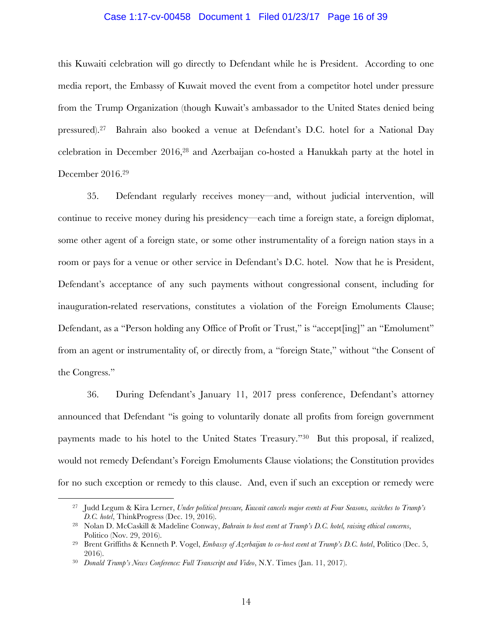#### Case 1:17-cv-00458 Document 1 Filed 01/23/17 Page 16 of 39

this Kuwaiti celebration will go directly to Defendant while he is President. According to one media report, the Embassy of Kuwait moved the event from a competitor hotel under pressure from the Trump Organization (though Kuwait's ambassador to the United States denied being pressured). <sup>27</sup> Bahrain also booked a venue at Defendant's D.C. hotel for a National Day celebration in December 2016, <sup>28</sup> and Azerbaijan co-hosted a Hanukkah party at the hotel in December 2016. 29

35. Defendant regularly receives money—and, without judicial intervention, will continue to receive money during his presidency—each time a foreign state, a foreign diplomat, some other agent of a foreign state, or some other instrumentality of a foreign nation stays in a room or pays for a venue or other service in Defendant's D.C. hotel. Now that he is President, Defendant's acceptance of any such payments without congressional consent, including for inauguration-related reservations, constitutes a violation of the Foreign Emoluments Clause; Defendant, as a "Person holding any Office of Profit or Trust," is "accept[ing]" an "Emolument" from an agent or instrumentality of, or directly from, a "foreign State," without "the Consent of the Congress."

36. During Defendant's January 11, 2017 press conference, Defendant's attorney announced that Defendant "is going to voluntarily donate all profits from foreign government payments made to his hotel to the United States Treasury."30 But this proposal, if realized, would not remedy Defendant's Foreign Emoluments Clause violations; the Constitution provides for no such exception or remedy to this clause. And, even if such an exception or remedy were

<sup>27</sup> Judd Legum & Kira Lerner, *Under political pressure, Kuwait cancels major events at Four Seasons, switches to Trump's D.C. hotel*, ThinkProgress (Dec. 19, 2016).

<sup>28</sup> Nolan D. McCaskill & Madeline Conway, *Bahrain to host event at Trump's D.C. hotel, raising ethical concerns*, Politico (Nov. 29, 2016).

<sup>29</sup> Brent Griffiths & Kenneth P. Vogel, *Embassy of Azerbaijan to co-host event at Trump's D.C. hotel*, Politico (Dec. 5, 2016).

<sup>30</sup> *Donald Trump's News Conference: Full Transcript and Video*, N.Y. Times (Jan. 11, 2017).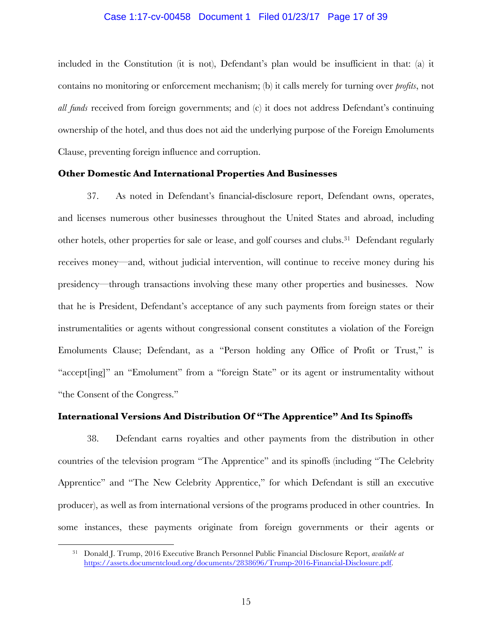#### Case 1:17-cv-00458 Document 1 Filed 01/23/17 Page 17 of 39

included in the Constitution (it is not), Defendant's plan would be insufficient in that: (a) it contains no monitoring or enforcement mechanism; (b) it calls merely for turning over *profits*, not *all funds* received from foreign governments; and (c) it does not address Defendant's continuing ownership of the hotel, and thus does not aid the underlying purpose of the Foreign Emoluments Clause, preventing foreign influence and corruption.

#### **Other Domestic And International Properties And Businesses**

37. As noted in Defendant's financial-disclosure report, Defendant owns, operates, and licenses numerous other businesses throughout the United States and abroad, including other hotels, other properties for sale or lease, and golf courses and clubs.31 Defendant regularly receives money—and, without judicial intervention, will continue to receive money during his presidency—through transactions involving these many other properties and businesses. Now that he is President, Defendant's acceptance of any such payments from foreign states or their instrumentalities or agents without congressional consent constitutes a violation of the Foreign Emoluments Clause; Defendant, as a "Person holding any Office of Profit or Trust," is "accept[ing]" an "Emolument" from a "foreign State" or its agent or instrumentality without "the Consent of the Congress."

### **International Versions And Distribution Of "The Apprentice" And Its Spinoffs**

38. Defendant earns royalties and other payments from the distribution in other countries of the television program "The Apprentice" and its spinoffs (including "The Celebrity Apprentice" and "The New Celebrity Apprentice," for which Defendant is still an executive producer), as well as from international versions of the programs produced in other countries. In some instances, these payments originate from foreign governments or their agents or

<sup>31</sup> Donald J. Trump, 2016 Executive Branch Personnel Public Financial Disclosure Report, *available at* https://assets.documentcloud.org/documents/2838696/Trump-2016-Financial-Disclosure.pdf.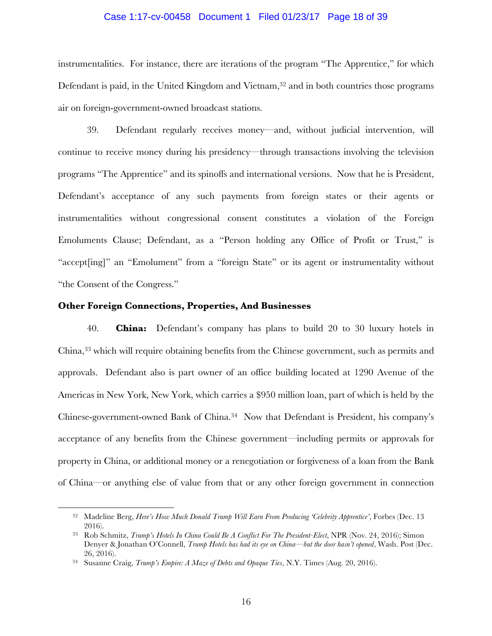#### Case 1:17-cv-00458 Document 1 Filed 01/23/17 Page 18 of 39

instrumentalities. For instance, there are iterations of the program "The Apprentice," for which Defendant is paid, in the United Kingdom and Vietnam,<sup>32</sup> and in both countries those programs air on foreign-government-owned broadcast stations.

39. Defendant regularly receives money—and, without judicial intervention, will continue to receive money during his presidency—through transactions involving the television programs "The Apprentice" and its spinoffs and international versions. Now that he is President, Defendant's acceptance of any such payments from foreign states or their agents or instrumentalities without congressional consent constitutes a violation of the Foreign Emoluments Clause; Defendant, as a "Person holding any Office of Profit or Trust," is "accept[ing]" an "Emolument" from a "foreign State" or its agent or instrumentality without "the Consent of the Congress."

#### **Other Foreign Connections, Properties, And Businesses**

1

40. **China:** Defendant's company has plans to build 20 to 30 luxury hotels in China,33 which will require obtaining benefits from the Chinese government, such as permits and approvals. Defendant also is part owner of an office building located at 1290 Avenue of the Americas in New York, New York, which carries a \$950 million loan, part of which is held by the Chinese-government-owned Bank of China.34 Now that Defendant is President, his company's acceptance of any benefits from the Chinese government—including permits or approvals for property in China, or additional money or a renegotiation or forgiveness of a loan from the Bank of China—or anything else of value from that or any other foreign government in connection

<sup>32</sup> Madeline Berg, *Here's How Much Donald Trump Will Earn From Producing 'Celebrity Apprentice'*, Forbes (Dec. 13 2016).

<sup>33</sup> Rob Schmitz, *Trump's Hotels In China Could Be A Conflict For The President-Elect*, NPR (Nov. 24, 2016); Simon Denyer & Jonathan O'Connell, *Trump Hotels has had its eye on China—but the door hasn't opened*, Wash. Post (Dec. 26, 2016).

<sup>34</sup> Susanne Craig, *Trump's Empire: A Maze of Debts and Opaque Ties*, N.Y. Times (Aug. 20, 2016).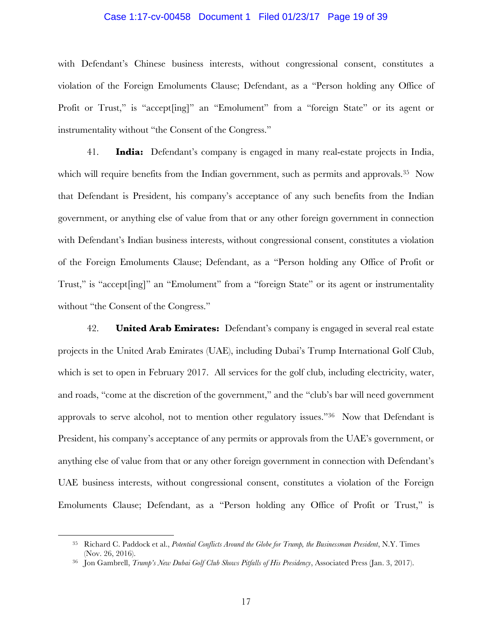#### Case 1:17-cv-00458 Document 1 Filed 01/23/17 Page 19 of 39

with Defendant's Chinese business interests, without congressional consent, constitutes a violation of the Foreign Emoluments Clause; Defendant, as a "Person holding any Office of Profit or Trust," is "accept [ing]" an "Emolument" from a "foreign State" or its agent or instrumentality without "the Consent of the Congress."

41. **India:** Defendant's company is engaged in many real-estate projects in India, which will require benefits from the Indian government, such as permits and approvals.<sup>35</sup> Now that Defendant is President, his company's acceptance of any such benefits from the Indian government, or anything else of value from that or any other foreign government in connection with Defendant's Indian business interests, without congressional consent, constitutes a violation of the Foreign Emoluments Clause; Defendant, as a "Person holding any Office of Profit or Trust," is "accept [ing]" an "Emolument" from a "foreign State" or its agent or instrumentality without "the Consent of the Congress."

42. **United Arab Emirates:** Defendant's company is engaged in several real estate projects in the United Arab Emirates (UAE), including Dubai's Trump International Golf Club, which is set to open in February 2017. All services for the golf club, including electricity, water, and roads, "come at the discretion of the government," and the "club's bar will need government approvals to serve alcohol, not to mention other regulatory issues."36 Now that Defendant is President, his company's acceptance of any permits or approvals from the UAE's government, or anything else of value from that or any other foreign government in connection with Defendant's UAE business interests, without congressional consent, constitutes a violation of the Foreign Emoluments Clause; Defendant, as a "Person holding any Office of Profit or Trust," is

<sup>35</sup> Richard C. Paddock et al., *Potential Conflicts Around the Globe for Trump, the Businessman President*, N.Y. Times (Nov. 26, 2016).

<sup>36</sup> Jon Gambrell, *Trump's New Dubai Golf Club Shows Pitfalls of His Presidency*, Associated Press (Jan. 3, 2017).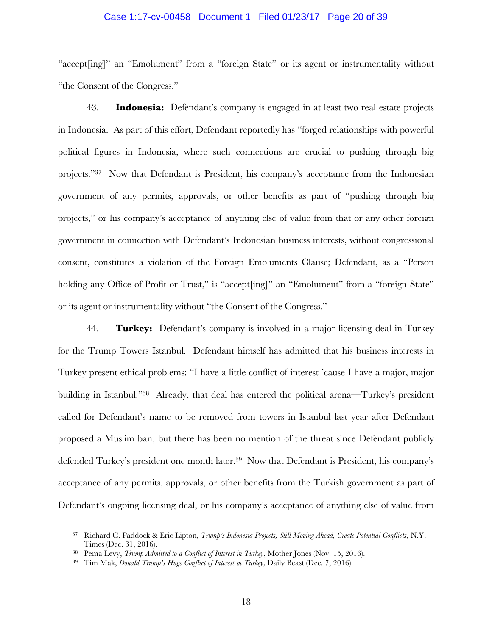#### Case 1:17-cv-00458 Document 1 Filed 01/23/17 Page 20 of 39

"accept[ing]" an "Emolument" from a "foreign State" or its agent or instrumentality without "the Consent of the Congress."

43. **Indonesia:** Defendant's company is engaged in at least two real estate projects in Indonesia. As part of this effort, Defendant reportedly has "forged relationships with powerful political figures in Indonesia, where such connections are crucial to pushing through big projects."37 Now that Defendant is President, his company's acceptance from the Indonesian government of any permits, approvals, or other benefits as part of "pushing through big projects," or his company's acceptance of anything else of value from that or any other foreign government in connection with Defendant's Indonesian business interests, without congressional consent, constitutes a violation of the Foreign Emoluments Clause; Defendant, as a "Person holding any Office of Profit or Trust," is "accept [ing]" an "Emolument" from a "foreign State" or its agent or instrumentality without "the Consent of the Congress."

44. **Turkey:** Defendant's company is involved in a major licensing deal in Turkey for the Trump Towers Istanbul. Defendant himself has admitted that his business interests in Turkey present ethical problems: "I have a little conflict of interest 'cause I have a major, major building in Istanbul."38 Already, that deal has entered the political arena—Turkey's president called for Defendant's name to be removed from towers in Istanbul last year after Defendant proposed a Muslim ban, but there has been no mention of the threat since Defendant publicly defended Turkey's president one month later.<sup>39</sup> Now that Defendant is President, his company's acceptance of any permits, approvals, or other benefits from the Turkish government as part of Defendant's ongoing licensing deal, or his company's acceptance of anything else of value from

<sup>37</sup> Richard C. Paddock & Eric Lipton, *Trump's Indonesia Projects, Still Moving Ahead, Create Potential Conflicts*, N.Y. Times (Dec. 31, 2016).

<sup>38</sup> Pema Levy, *Trump Admitted to a Conflict of Interest in Turkey*, Mother Jones (Nov. 15, 2016).

<sup>39</sup> Tim Mak, *Donald Trump's Huge Conflict of Interest in Turkey*, Daily Beast (Dec. 7, 2016).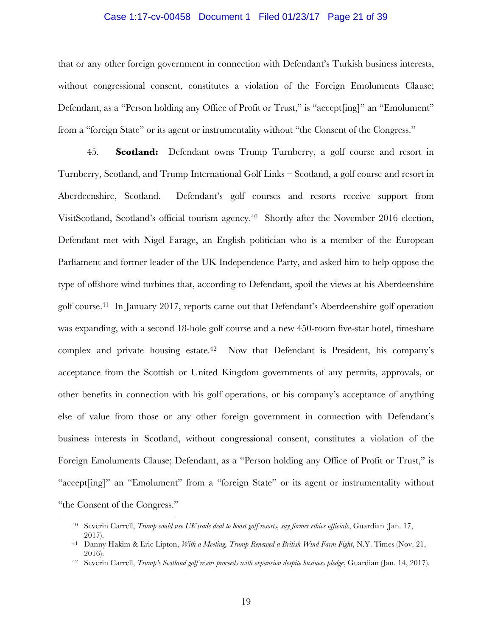#### Case 1:17-cv-00458 Document 1 Filed 01/23/17 Page 21 of 39

that or any other foreign government in connection with Defendant's Turkish business interests, without congressional consent, constitutes a violation of the Foreign Emoluments Clause; Defendant, as a "Person holding any Office of Profit or Trust," is "accept [ing]" an "Emolument" from a "foreign State" or its agent or instrumentality without "the Consent of the Congress."

45. **Scotland:** Defendant owns Trump Turnberry, a golf course and resort in Turnberry, Scotland, and Trump International Golf Links – Scotland, a golf course and resort in Aberdeenshire, Scotland. Defendant's golf courses and resorts receive support from VisitScotland, Scotland's official tourism agency.40 Shortly after the November 2016 election, Defendant met with Nigel Farage, an English politician who is a member of the European Parliament and former leader of the UK Independence Party, and asked him to help oppose the type of offshore wind turbines that, according to Defendant, spoil the views at his Aberdeenshire golf course.41 In January 2017, reports came out that Defendant's Aberdeenshire golf operation was expanding, with a second 18-hole golf course and a new 450-room five-star hotel, timeshare complex and private housing estate. $42$  Now that Defendant is President, his company's acceptance from the Scottish or United Kingdom governments of any permits, approvals, or other benefits in connection with his golf operations, or his company's acceptance of anything else of value from those or any other foreign government in connection with Defendant's business interests in Scotland, without congressional consent, constitutes a violation of the Foreign Emoluments Clause; Defendant, as a "Person holding any Office of Profit or Trust," is "accept[ing]" an "Emolument" from a "foreign State" or its agent or instrumentality without "the Consent of the Congress."

<sup>40</sup> Severin Carrell, *Trump could use UK trade deal to boost golf resorts, say former ethics officials*, Guardian (Jan. 17, 2017).

<sup>41</sup> Danny Hakim & Eric Lipton, *With a Meeting, Trump Renewed a British Wind Farm Fight*, N.Y. Times (Nov. 21, 2016).

<sup>42</sup> Severin Carrell, *Trump's Scotland golf resort proceeds with expansion despite business pledge*, Guardian (Jan. 14, 2017).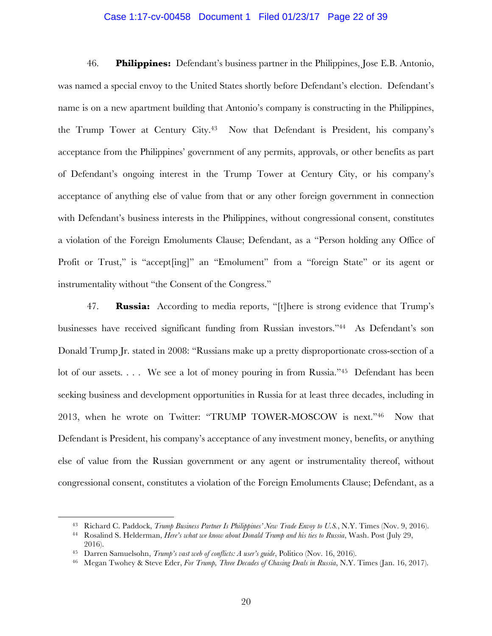#### Case 1:17-cv-00458 Document 1 Filed 01/23/17 Page 22 of 39

46. **Philippines:** Defendant's business partner in the Philippines, Jose E.B. Antonio, was named a special envoy to the United States shortly before Defendant's election. Defendant's name is on a new apartment building that Antonio's company is constructing in the Philippines, the Trump Tower at Century City.43 Now that Defendant is President, his company's acceptance from the Philippines' government of any permits, approvals, or other benefits as part of Defendant's ongoing interest in the Trump Tower at Century City, or his company's acceptance of anything else of value from that or any other foreign government in connection with Defendant's business interests in the Philippines, without congressional consent, constitutes a violation of the Foreign Emoluments Clause; Defendant, as a "Person holding any Office of Profit or Trust," is "accept [ing]" an "Emolument" from a "foreign State" or its agent or instrumentality without "the Consent of the Congress."

47. **Russia:** According to media reports, "[t]here is strong evidence that Trump's businesses have received significant funding from Russian investors."44 As Defendant's son Donald Trump Jr. stated in 2008: "Russians make up a pretty disproportionate cross-section of a lot of our assets. . . . We see a lot of money pouring in from Russia."<sup>45</sup> Defendant has been seeking business and development opportunities in Russia for at least three decades, including in 2013, when he wrote on Twitter: "TRUMP TOWER-MOSCOW is next."46 Now that Defendant is President, his company's acceptance of any investment money, benefits, or anything else of value from the Russian government or any agent or instrumentality thereof, without congressional consent, constitutes a violation of the Foreign Emoluments Clause; Defendant, as a

<sup>43</sup> Richard C. Paddock, *Trump Business Partner Is Philippines' New Trade Envoy to U.S.*, N.Y. Times (Nov. 9, 2016).

<sup>44</sup> Rosalind S. Helderman, *Here's what we know about Donald Trump and his ties to Russia*, Wash. Post (July 29, 2016).

<sup>45</sup> Darren Samuelsohn, *Trump's vast web of conflicts: A user's guide*, Politico (Nov. 16, 2016).

<sup>46</sup> Megan Twohey & Steve Eder, *For Trump, Three Decades of Chasing Deals in Russia*, N.Y. Times (Jan. 16, 2017).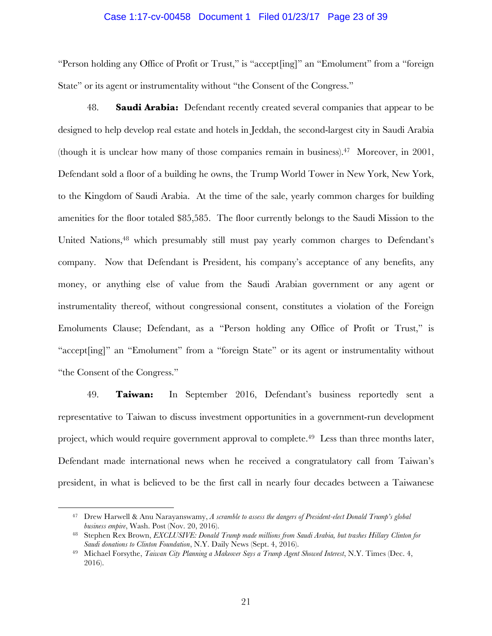#### Case 1:17-cv-00458 Document 1 Filed 01/23/17 Page 23 of 39

"Person holding any Office of Profit or Trust," is "accept[ing]" an "Emolument" from a "foreign State" or its agent or instrumentality without "the Consent of the Congress."

48. **Saudi Arabia:** Defendant recently created several companies that appear to be designed to help develop real estate and hotels in Jeddah, the second-largest city in Saudi Arabia (though it is unclear how many of those companies remain in business). 47 Moreover, in 2001, Defendant sold a floor of a building he owns, the Trump World Tower in New York, New York, to the Kingdom of Saudi Arabia. At the time of the sale, yearly common charges for building amenities for the floor totaled \$85,585. The floor currently belongs to the Saudi Mission to the United Nations,<sup>48</sup> which presumably still must pay yearly common charges to Defendant's company. Now that Defendant is President, his company's acceptance of any benefits, any money, or anything else of value from the Saudi Arabian government or any agent or instrumentality thereof, without congressional consent, constitutes a violation of the Foreign Emoluments Clause; Defendant, as a "Person holding any Office of Profit or Trust," is "accept[ing]" an "Emolument" from a "foreign State" or its agent or instrumentality without "the Consent of the Congress."

49. **Taiwan:** In September 2016, Defendant's business reportedly sent a representative to Taiwan to discuss investment opportunities in a government-run development project, which would require government approval to complete.49 Less than three months later, Defendant made international news when he received a congratulatory call from Taiwan's president, in what is believed to be the first call in nearly four decades between a Taiwanese

<sup>47</sup> Drew Harwell & Anu Narayanswamy, *A scramble to assess the dangers of President-elect Donald Trump's global business empire*, Wash. Post (Nov. 20, 2016).

<sup>48</sup> Stephen Rex Brown, *EXCLUSIVE: Donald Trump made millions from Saudi Arabia, but trashes Hillary Clinton for Saudi donations to Clinton Foundation*, N.Y. Daily News (Sept. 4, 2016).

<sup>49</sup> Michael Forsythe, *Taiwan City Planning a Makeover Says a Trump Agent Showed Interest*, N.Y. Times (Dec. 4, 2016).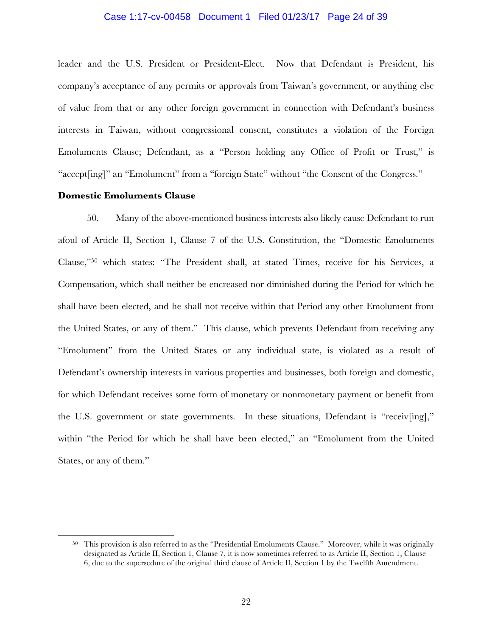#### Case 1:17-cv-00458 Document 1 Filed 01/23/17 Page 24 of 39

leader and the U.S. President or President-Elect. Now that Defendant is President, his company's acceptance of any permits or approvals from Taiwan's government, or anything else of value from that or any other foreign government in connection with Defendant's business interests in Taiwan, without congressional consent, constitutes a violation of the Foreign Emoluments Clause; Defendant, as a "Person holding any Office of Profit or Trust," is "accept[ing]" an "Emolument" from a "foreign State" without "the Consent of the Congress."

# **Domestic Emoluments Clause**

<u>.</u>

50. Many of the above-mentioned business interests also likely cause Defendant to run afoul of Article II, Section 1, Clause 7 of the U.S. Constitution, the "Domestic Emoluments Clause,"50 which states: "The President shall, at stated Times, receive for his Services, a Compensation, which shall neither be encreased nor diminished during the Period for which he shall have been elected, and he shall not receive within that Period any other Emolument from the United States, or any of them." This clause, which prevents Defendant from receiving any "Emolument" from the United States or any individual state, is violated as a result of Defendant's ownership interests in various properties and businesses, both foreign and domestic, for which Defendant receives some form of monetary or nonmonetary payment or benefit from the U.S. government or state governments. In these situations, Defendant is "receiv[ing]," within "the Period for which he shall have been elected," an "Emolument from the United States, or any of them."

<sup>&</sup>lt;sup>50</sup> This provision is also referred to as the "Presidential Emoluments Clause." Moreover, while it was originally designated as Article II, Section 1, Clause 7, it is now sometimes referred to as Article II, Section 1, Clause 6, due to the supersedure of the original third clause of Article II, Section 1 by the Twelfth Amendment.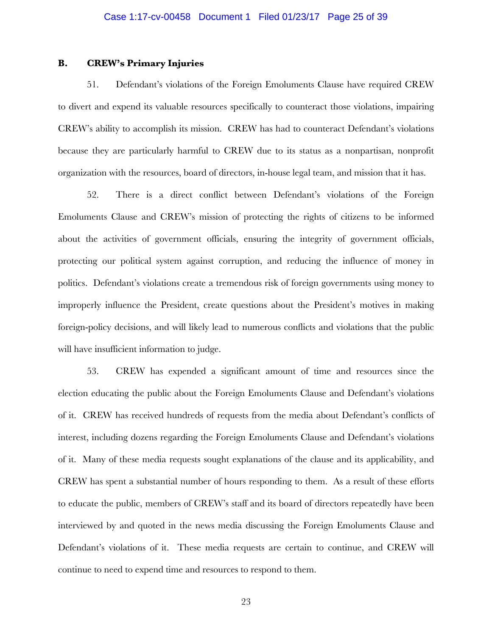### **B. CREW's Primary Injuries**

51. Defendant's violations of the Foreign Emoluments Clause have required CREW to divert and expend its valuable resources specifically to counteract those violations, impairing CREW's ability to accomplish its mission. CREW has had to counteract Defendant's violations because they are particularly harmful to CREW due to its status as a nonpartisan, nonprofit organization with the resources, board of directors, in-house legal team, and mission that it has.

52. There is a direct conflict between Defendant's violations of the Foreign Emoluments Clause and CREW's mission of protecting the rights of citizens to be informed about the activities of government officials, ensuring the integrity of government officials, protecting our political system against corruption, and reducing the influence of money in politics. Defendant's violations create a tremendous risk of foreign governments using money to improperly influence the President, create questions about the President's motives in making foreign-policy decisions, and will likely lead to numerous conflicts and violations that the public will have insufficient information to judge.

53. CREW has expended a significant amount of time and resources since the election educating the public about the Foreign Emoluments Clause and Defendant's violations of it. CREW has received hundreds of requests from the media about Defendant's conflicts of interest, including dozens regarding the Foreign Emoluments Clause and Defendant's violations of it. Many of these media requests sought explanations of the clause and its applicability, and CREW has spent a substantial number of hours responding to them. As a result of these efforts to educate the public, members of CREW's staff and its board of directors repeatedly have been interviewed by and quoted in the news media discussing the Foreign Emoluments Clause and Defendant's violations of it. These media requests are certain to continue, and CREW will continue to need to expend time and resources to respond to them.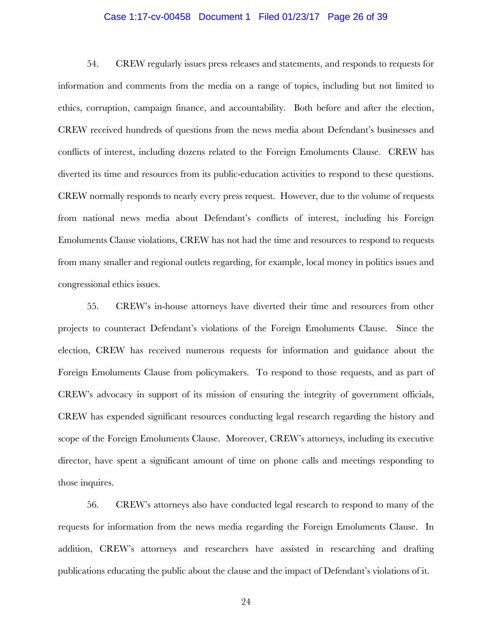#### Case 1:17-cv-00458 Document 1 Filed 01/23/17 Page 26 of 39

54. CREW regularly issues press releases and statements, and responds to requests for information and comments from the media on a range of topics, including but not limited to ethics, corruption, campaign finance, and accountability. Both before and after the election, CREW received hundreds of questions from the news media about Defendant's businesses and conflicts of interest, including dozens related to the Foreign Emoluments Clause. CREW has diverted its time and resources from its public-education activities to respond to these questions. CREW normally responds to nearly every press request. However, due to the volume of requests from national news media about Defendant's conflicts of interest, including his Foreign Emoluments Clause violations, CREW has not had the time and resources to respond to requests from many smaller and regional outlets regarding, for example, local money in politics issues and congressional ethics issues.

55. CREW's in-house attorneys have diverted their time and resources from other projects to counteract Defendant's violations of the Foreign Emoluments Clause. Since the election, CREW has received numerous requests for information and guidance about the Foreign Emoluments Clause from policymakers. To respond to those requests, and as part of CREW's advocacy in support of its mission of ensuring the integrity of government officials, CREW has expended significant resources conducting legal research regarding the history and scope of the Foreign Emoluments Clause. Moreover, CREW's attorneys, including its executive director, have spent a significant amount of time on phone calls and meetings responding to those inquires.

56. CREW's attorneys also have conducted legal research to respond to many of the requests for information from the news media regarding the Foreign Emoluments Clause. In addition, CREW's attorneys and researchers have assisted in researching and drafting publications educating the public about the clause and the impact of Defendant's violations of it.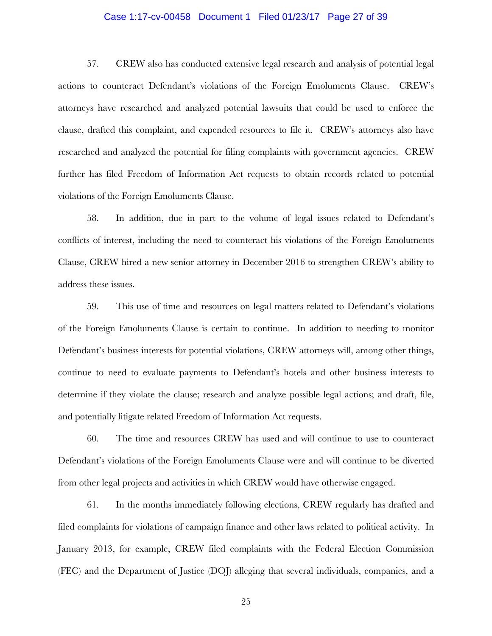#### Case 1:17-cv-00458 Document 1 Filed 01/23/17 Page 27 of 39

57. CREW also has conducted extensive legal research and analysis of potential legal actions to counteract Defendant's violations of the Foreign Emoluments Clause. CREW's attorneys have researched and analyzed potential lawsuits that could be used to enforce the clause, drafted this complaint, and expended resources to file it. CREW's attorneys also have researched and analyzed the potential for filing complaints with government agencies. CREW further has filed Freedom of Information Act requests to obtain records related to potential violations of the Foreign Emoluments Clause.

58. In addition, due in part to the volume of legal issues related to Defendant's conflicts of interest, including the need to counteract his violations of the Foreign Emoluments Clause, CREW hired a new senior attorney in December 2016 to strengthen CREW's ability to address these issues.

59. This use of time and resources on legal matters related to Defendant's violations of the Foreign Emoluments Clause is certain to continue. In addition to needing to monitor Defendant's business interests for potential violations, CREW attorneys will, among other things, continue to need to evaluate payments to Defendant's hotels and other business interests to determine if they violate the clause; research and analyze possible legal actions; and draft, file, and potentially litigate related Freedom of Information Act requests.

60. The time and resources CREW has used and will continue to use to counteract Defendant's violations of the Foreign Emoluments Clause were and will continue to be diverted from other legal projects and activities in which CREW would have otherwise engaged.

61. In the months immediately following elections, CREW regularly has drafted and filed complaints for violations of campaign finance and other laws related to political activity. In January 2013, for example, CREW filed complaints with the Federal Election Commission (FEC) and the Department of Justice (DOJ) alleging that several individuals, companies, and a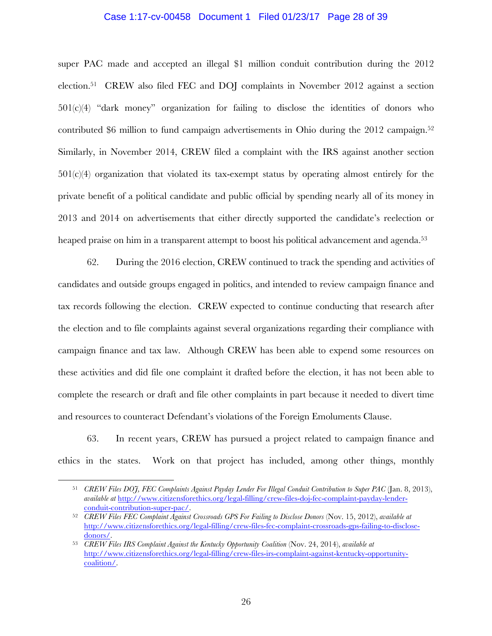#### Case 1:17-cv-00458 Document 1 Filed 01/23/17 Page 28 of 39

super PAC made and accepted an illegal \$1 million conduit contribution during the 2012 election.51 CREW also filed FEC and DOJ complaints in November 2012 against a section  $501(c)(4)$  "dark money" organization for failing to disclose the identities of donors who contributed \$6 million to fund campaign advertisements in Ohio during the 2012 campaign.<sup>52</sup> Similarly, in November 2014, CREW filed a complaint with the IRS against another section  $501(c)(4)$  organization that violated its tax-exempt status by operating almost entirely for the private benefit of a political candidate and public official by spending nearly all of its money in 2013 and 2014 on advertisements that either directly supported the candidate's reelection or heaped praise on him in a transparent attempt to boost his political advancement and agenda.<sup>53</sup>

62. During the 2016 election, CREW continued to track the spending and activities of candidates and outside groups engaged in politics, and intended to review campaign finance and tax records following the election. CREW expected to continue conducting that research after the election and to file complaints against several organizations regarding their compliance with campaign finance and tax law. Although CREW has been able to expend some resources on these activities and did file one complaint it drafted before the election, it has not been able to complete the research or draft and file other complaints in part because it needed to divert time and resources to counteract Defendant's violations of the Foreign Emoluments Clause.

63. In recent years, CREW has pursued a project related to campaign finance and ethics in the states. Work on that project has included, among other things, monthly

<sup>51</sup> *CREW Files DOJ, FEC Complaints Against Payday Lender For Illegal Conduit Contribution to Super PAC* (Jan. 8, 2013), *available at* http://www.citizensforethics.org/legal-filling/crew-files-doj-fec-complaint-payday-lenderconduit-contribution-super-pac/.

<sup>52</sup> *CREW Files FEC Complaint Against Crossroads GPS For Failing to Disclose Donors* (Nov. 15, 2012), *available at* http://www.citizensforethics.org/legal-filling/crew-files-fec-complaint-crossroads-gps-failing-to-disclosedonors/.

<sup>53</sup> *CREW Files IRS Complaint Against the Kentucky Opportunity Coalition* (Nov. 24, 2014), *available at* http://www.citizensforethics.org/legal-filling/crew-files-irs-complaint-against-kentucky-opportunitycoalition/.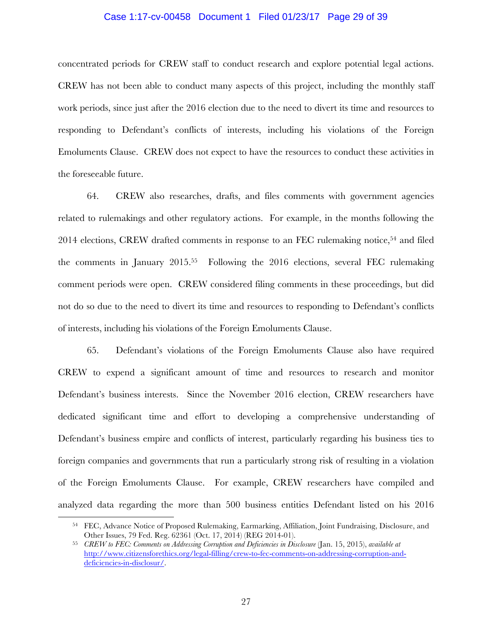#### Case 1:17-cv-00458 Document 1 Filed 01/23/17 Page 29 of 39

concentrated periods for CREW staff to conduct research and explore potential legal actions. CREW has not been able to conduct many aspects of this project, including the monthly staff work periods, since just after the 2016 election due to the need to divert its time and resources to responding to Defendant's conflicts of interests, including his violations of the Foreign Emoluments Clause. CREW does not expect to have the resources to conduct these activities in the foreseeable future.

64. CREW also researches, drafts, and files comments with government agencies related to rulemakings and other regulatory actions. For example, in the months following the 2014 elections, CREW drafted comments in response to an FEC rulemaking notice, <sup>54</sup> and filed the comments in January 2015.55 Following the 2016 elections, several FEC rulemaking comment periods were open. CREW considered filing comments in these proceedings, but did not do so due to the need to divert its time and resources to responding to Defendant's conflicts of interests, including his violations of the Foreign Emoluments Clause.

65. Defendant's violations of the Foreign Emoluments Clause also have required CREW to expend a significant amount of time and resources to research and monitor Defendant's business interests. Since the November 2016 election, CREW researchers have dedicated significant time and effort to developing a comprehensive understanding of Defendant's business empire and conflicts of interest, particularly regarding his business ties to foreign companies and governments that run a particularly strong risk of resulting in a violation of the Foreign Emoluments Clause. For example, CREW researchers have compiled and analyzed data regarding the more than 500 business entities Defendant listed on his 2016

<sup>54</sup> FEC, Advance Notice of Proposed Rulemaking, Earmarking, Affiliation, Joint Fundraising, Disclosure, and Other Issues, 79 Fed. Reg. 62361 (Oct. 17, 2014) (REG 2014-01).

<sup>55</sup> *CREW to FEC: Comments on Addressing Corruption and Deficiencies in Disclosure* (Jan. 15, 2015), *available at* http://www.citizensforethics.org/legal-filling/crew-to-fec-comments-on-addressing-corruption-anddeficiencies-in-disclosur/.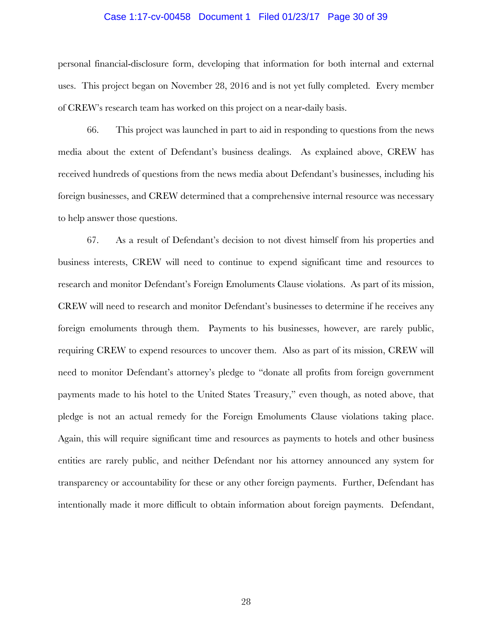#### Case 1:17-cv-00458 Document 1 Filed 01/23/17 Page 30 of 39

personal financial-disclosure form, developing that information for both internal and external uses. This project began on November 28, 2016 and is not yet fully completed. Every member of CREW's research team has worked on this project on a near-daily basis.

66. This project was launched in part to aid in responding to questions from the news media about the extent of Defendant's business dealings. As explained above, CREW has received hundreds of questions from the news media about Defendant's businesses, including his foreign businesses, and CREW determined that a comprehensive internal resource was necessary to help answer those questions.

67. As a result of Defendant's decision to not divest himself from his properties and business interests, CREW will need to continue to expend significant time and resources to research and monitor Defendant's Foreign Emoluments Clause violations. As part of its mission, CREW will need to research and monitor Defendant's businesses to determine if he receives any foreign emoluments through them. Payments to his businesses, however, are rarely public, requiring CREW to expend resources to uncover them. Also as part of its mission, CREW will need to monitor Defendant's attorney's pledge to "donate all profits from foreign government payments made to his hotel to the United States Treasury," even though, as noted above, that pledge is not an actual remedy for the Foreign Emoluments Clause violations taking place. Again, this will require significant time and resources as payments to hotels and other business entities are rarely public, and neither Defendant nor his attorney announced any system for transparency or accountability for these or any other foreign payments. Further, Defendant has intentionally made it more difficult to obtain information about foreign payments. Defendant,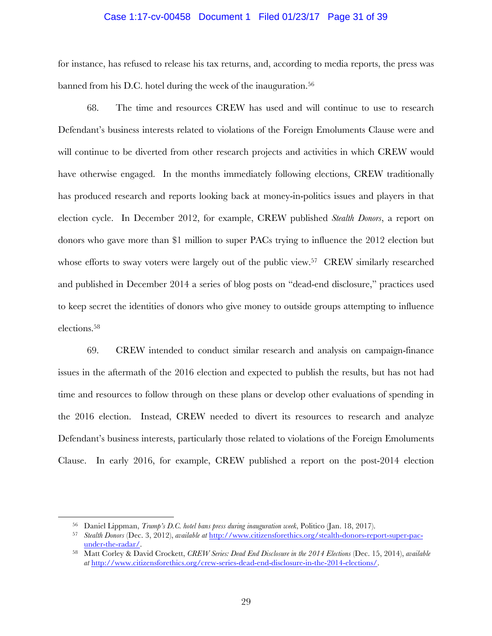#### Case 1:17-cv-00458 Document 1 Filed 01/23/17 Page 31 of 39

for instance, has refused to release his tax returns, and, according to media reports, the press was banned from his D.C. hotel during the week of the inauguration.<sup>56</sup>

68. The time and resources CREW has used and will continue to use to research Defendant's business interests related to violations of the Foreign Emoluments Clause were and will continue to be diverted from other research projects and activities in which CREW would have otherwise engaged. In the months immediately following elections, CREW traditionally has produced research and reports looking back at money-in-politics issues and players in that election cycle. In December 2012, for example, CREW published *Stealth Donors*, a report on donors who gave more than \$1 million to super PACs trying to influence the 2012 election but whose efforts to sway voters were largely out of the public view.<sup>57</sup> CREW similarly researched and published in December 2014 a series of blog posts on "dead-end disclosure," practices used to keep secret the identities of donors who give money to outside groups attempting to influence elections.58

69. CREW intended to conduct similar research and analysis on campaign-finance issues in the aftermath of the 2016 election and expected to publish the results, but has not had time and resources to follow through on these plans or develop other evaluations of spending in the 2016 election. Instead, CREW needed to divert its resources to research and analyze Defendant's business interests, particularly those related to violations of the Foreign Emoluments Clause. In early 2016, for example, CREW published a report on the post-2014 election

<sup>56</sup> Daniel Lippman, *Trump's D.C. hotel bans press during inauguration week*, Politico (Jan. 18, 2017).

<sup>57</sup> *Stealth Donors* (Dec. 3, 2012), *available at* http://www.citizensforethics.org/stealth-donors-report-super-pacunder-the-radar/.

<sup>58</sup> Matt Corley & David Crockett, *CREW Series: Dead End Disclosure in the 2014 Elections* (Dec. 15, 2014), *available at* http://www.citizensforethics.org/crew-series-dead-end-disclosure-in-the-2014-elections/.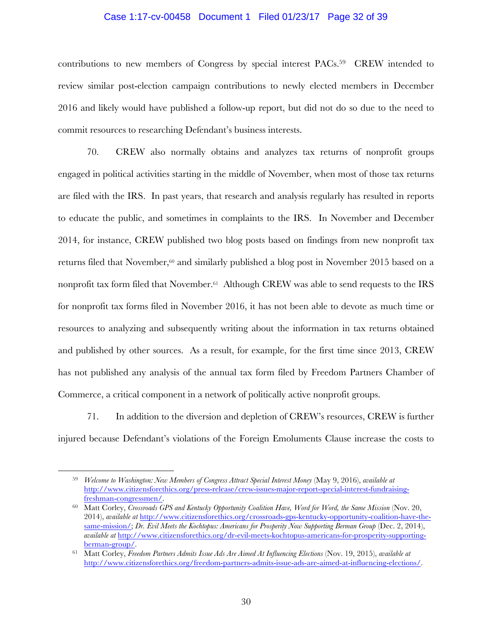#### Case 1:17-cv-00458 Document 1 Filed 01/23/17 Page 32 of 39

contributions to new members of Congress by special interest PACs.59 CREW intended to review similar post-election campaign contributions to newly elected members in December 2016 and likely would have published a follow-up report, but did not do so due to the need to commit resources to researching Defendant's business interests.

70. CREW also normally obtains and analyzes tax returns of nonprofit groups engaged in political activities starting in the middle of November, when most of those tax returns are filed with the IRS. In past years, that research and analysis regularly has resulted in reports to educate the public, and sometimes in complaints to the IRS. In November and December 2014, for instance, CREW published two blog posts based on findings from new nonprofit tax returns filed that November,<sup>60</sup> and similarly published a blog post in November 2015 based on a nonprofit tax form filed that November.<sup>61</sup> Although CREW was able to send requests to the IRS for nonprofit tax forms filed in November 2016, it has not been able to devote as much time or resources to analyzing and subsequently writing about the information in tax returns obtained and published by other sources. As a result, for example, for the first time since 2013, CREW has not published any analysis of the annual tax form filed by Freedom Partners Chamber of Commerce, a critical component in a network of politically active nonprofit groups.

71. In addition to the diversion and depletion of CREW's resources, CREW is further injured because Defendant's violations of the Foreign Emoluments Clause increase the costs to

<sup>59</sup> *Welcome to Washington: New Members of Congress Attract Special Interest Money* (May 9, 2016), *available at* http://www.citizensforethics.org/press-release/crew-issues-major-report-special-interest-fundraisingfreshman-congressmen/. 60 Matt Corley, *Crossroads GPS and Kentucky Opportunity Coalition Have, Word for Word, the Same Mission* (Nov. 20,

<sup>2014),</sup> *available at* http://www.citizensforethics.org/crossroads-gps-kentucky-opportunity-coalition-have-thesame-mission/; *Dr. Evil Meets the Kochtopus: Americans for Prosperity Now Supporting Berman Group* (Dec. 2, 2014), *available at* http://www.citizensforethics.org/dr-evil-meets-kochtopus-americans-for-prosperity-supportingberman-group/.

<sup>61</sup> Matt Corley, *Freedom Partners Admits Issue Ads Are Aimed At Influencing Elections* (Nov. 19, 2015), *available at* http://www.citizensforethics.org/freedom-partners-admits-issue-ads-are-aimed-at-influencing-elections/.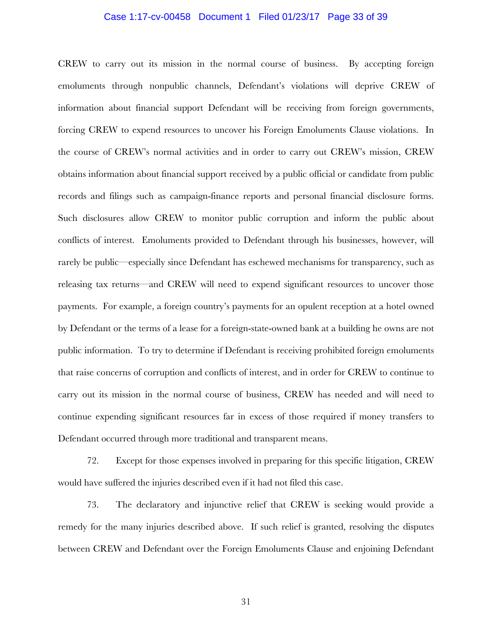#### Case 1:17-cv-00458 Document 1 Filed 01/23/17 Page 33 of 39

CREW to carry out its mission in the normal course of business. By accepting foreign emoluments through nonpublic channels, Defendant's violations will deprive CREW of information about financial support Defendant will be receiving from foreign governments, forcing CREW to expend resources to uncover his Foreign Emoluments Clause violations. In the course of CREW's normal activities and in order to carry out CREW's mission, CREW obtains information about financial support received by a public official or candidate from public records and filings such as campaign-finance reports and personal financial disclosure forms. Such disclosures allow CREW to monitor public corruption and inform the public about conflicts of interest. Emoluments provided to Defendant through his businesses, however, will rarely be public—especially since Defendant has eschewed mechanisms for transparency, such as releasing tax returns—and CREW will need to expend significant resources to uncover those payments. For example, a foreign country's payments for an opulent reception at a hotel owned by Defendant or the terms of a lease for a foreign-state-owned bank at a building he owns are not public information. To try to determine if Defendant is receiving prohibited foreign emoluments that raise concerns of corruption and conflicts of interest, and in order for CREW to continue to carry out its mission in the normal course of business, CREW has needed and will need to continue expending significant resources far in excess of those required if money transfers to Defendant occurred through more traditional and transparent means.

72. Except for those expenses involved in preparing for this specific litigation, CREW would have suffered the injuries described even if it had not filed this case.

73. The declaratory and injunctive relief that CREW is seeking would provide a remedy for the many injuries described above. If such relief is granted, resolving the disputes between CREW and Defendant over the Foreign Emoluments Clause and enjoining Defendant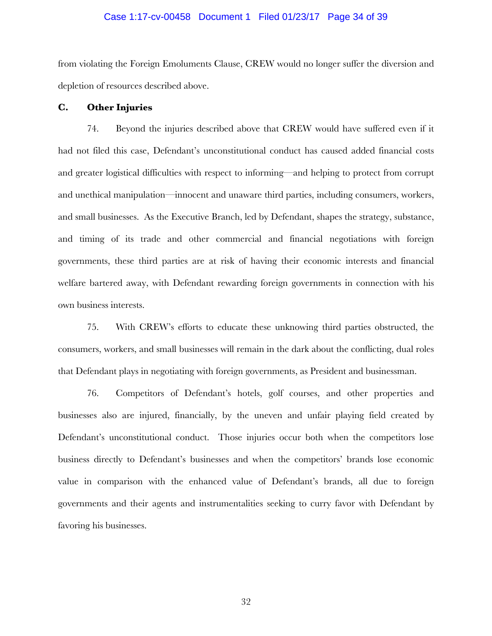#### Case 1:17-cv-00458 Document 1 Filed 01/23/17 Page 34 of 39

from violating the Foreign Emoluments Clause, CREW would no longer suffer the diversion and depletion of resources described above.

#### **C. Other Injuries**

74. Beyond the injuries described above that CREW would have suffered even if it had not filed this case, Defendant's unconstitutional conduct has caused added financial costs and greater logistical difficulties with respect to informing—and helping to protect from corrupt and unethical manipulation—innocent and unaware third parties, including consumers, workers, and small businesses. As the Executive Branch, led by Defendant, shapes the strategy, substance, and timing of its trade and other commercial and financial negotiations with foreign governments, these third parties are at risk of having their economic interests and financial welfare bartered away, with Defendant rewarding foreign governments in connection with his own business interests.

75. With CREW's efforts to educate these unknowing third parties obstructed, the consumers, workers, and small businesses will remain in the dark about the conflicting, dual roles that Defendant plays in negotiating with foreign governments, as President and businessman.

76. Competitors of Defendant's hotels, golf courses, and other properties and businesses also are injured, financially, by the uneven and unfair playing field created by Defendant's unconstitutional conduct. Those injuries occur both when the competitors lose business directly to Defendant's businesses and when the competitors' brands lose economic value in comparison with the enhanced value of Defendant's brands, all due to foreign governments and their agents and instrumentalities seeking to curry favor with Defendant by favoring his businesses.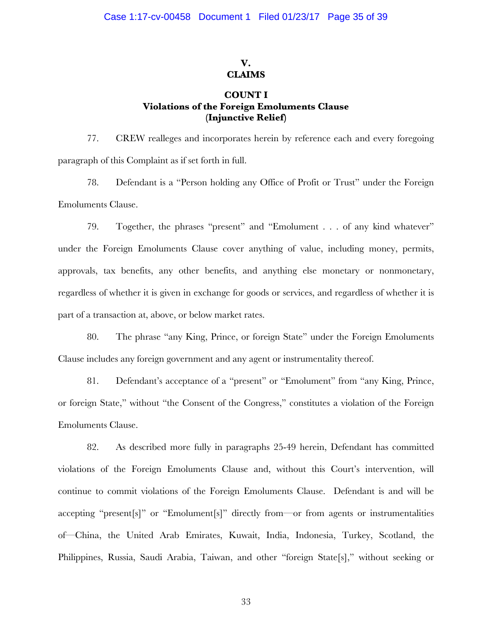#### **V. CLAIMS**

## **COUNT I Violations of the Foreign Emoluments Clause (Injunctive Relief)**

77. CREW realleges and incorporates herein by reference each and every foregoing paragraph of this Complaint as if set forth in full.

78. Defendant is a "Person holding any Office of Profit or Trust" under the Foreign Emoluments Clause.

79. Together, the phrases "present" and "Emolument . . . of any kind whatever" under the Foreign Emoluments Clause cover anything of value, including money, permits, approvals, tax benefits, any other benefits, and anything else monetary or nonmonetary, regardless of whether it is given in exchange for goods or services, and regardless of whether it is part of a transaction at, above, or below market rates.

80. The phrase "any King, Prince, or foreign State" under the Foreign Emoluments Clause includes any foreign government and any agent or instrumentality thereof.

81. Defendant's acceptance of a "present" or "Emolument" from "any King, Prince, or foreign State," without "the Consent of the Congress," constitutes a violation of the Foreign Emoluments Clause.

82. As described more fully in paragraphs 25-49 herein, Defendant has committed violations of the Foreign Emoluments Clause and, without this Court's intervention, will continue to commit violations of the Foreign Emoluments Clause. Defendant is and will be accepting "present[s]" or "Emolument[s]" directly from—or from agents or instrumentalities of—China, the United Arab Emirates, Kuwait, India, Indonesia, Turkey, Scotland, the Philippines, Russia, Saudi Arabia, Taiwan, and other "foreign State[s]," without seeking or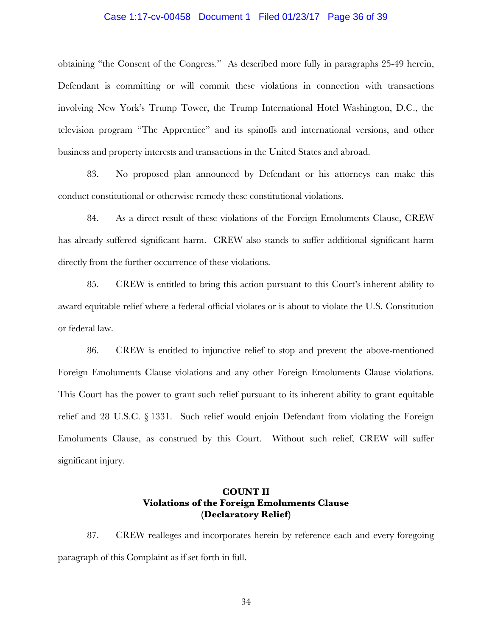#### Case 1:17-cv-00458 Document 1 Filed 01/23/17 Page 36 of 39

obtaining "the Consent of the Congress." As described more fully in paragraphs 25-49 herein, Defendant is committing or will commit these violations in connection with transactions involving New York's Trump Tower, the Trump International Hotel Washington, D.C., the television program "The Apprentice" and its spinoffs and international versions, and other business and property interests and transactions in the United States and abroad.

83. No proposed plan announced by Defendant or his attorneys can make this conduct constitutional or otherwise remedy these constitutional violations.

84. As a direct result of these violations of the Foreign Emoluments Clause, CREW has already suffered significant harm. CREW also stands to suffer additional significant harm directly from the further occurrence of these violations.

85. CREW is entitled to bring this action pursuant to this Court's inherent ability to award equitable relief where a federal official violates or is about to violate the U.S. Constitution or federal law.

86. CREW is entitled to injunctive relief to stop and prevent the above-mentioned Foreign Emoluments Clause violations and any other Foreign Emoluments Clause violations. This Court has the power to grant such relief pursuant to its inherent ability to grant equitable relief and 28 U.S.C. § 1331. Such relief would enjoin Defendant from violating the Foreign Emoluments Clause, as construed by this Court. Without such relief, CREW will suffer significant injury.

# **COUNT II Violations of the Foreign Emoluments Clause (Declaratory Relief)**

87. CREW realleges and incorporates herein by reference each and every foregoing paragraph of this Complaint as if set forth in full.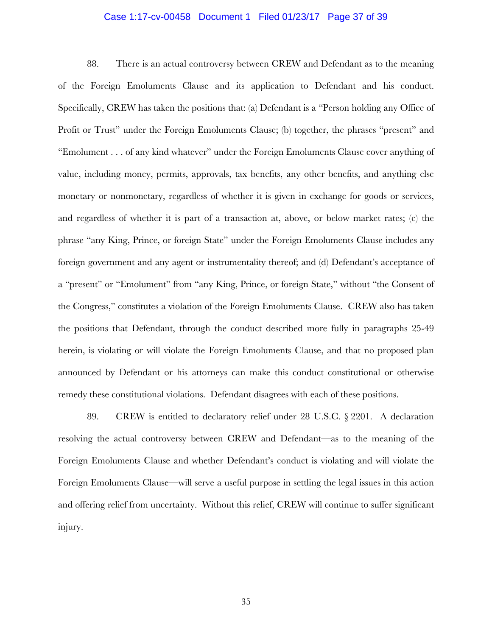#### Case 1:17-cv-00458 Document 1 Filed 01/23/17 Page 37 of 39

88. There is an actual controversy between CREW and Defendant as to the meaning of the Foreign Emoluments Clause and its application to Defendant and his conduct. Specifically, CREW has taken the positions that: (a) Defendant is a "Person holding any Office of Profit or Trust" under the Foreign Emoluments Clause; (b) together, the phrases "present" and "Emolument . . . of any kind whatever" under the Foreign Emoluments Clause cover anything of value, including money, permits, approvals, tax benefits, any other benefits, and anything else monetary or nonmonetary, regardless of whether it is given in exchange for goods or services, and regardless of whether it is part of a transaction at, above, or below market rates; (c) the phrase "any King, Prince, or foreign State" under the Foreign Emoluments Clause includes any foreign government and any agent or instrumentality thereof; and (d) Defendant's acceptance of a "present" or "Emolument" from "any King, Prince, or foreign State," without "the Consent of the Congress," constitutes a violation of the Foreign Emoluments Clause. CREW also has taken the positions that Defendant, through the conduct described more fully in paragraphs 25-49 herein, is violating or will violate the Foreign Emoluments Clause, and that no proposed plan announced by Defendant or his attorneys can make this conduct constitutional or otherwise remedy these constitutional violations. Defendant disagrees with each of these positions.

89. CREW is entitled to declaratory relief under 28 U.S.C. § 2201. A declaration resolving the actual controversy between CREW and Defendant—as to the meaning of the Foreign Emoluments Clause and whether Defendant's conduct is violating and will violate the Foreign Emoluments Clause—will serve a useful purpose in settling the legal issues in this action and offering relief from uncertainty. Without this relief, CREW will continue to suffer significant injury.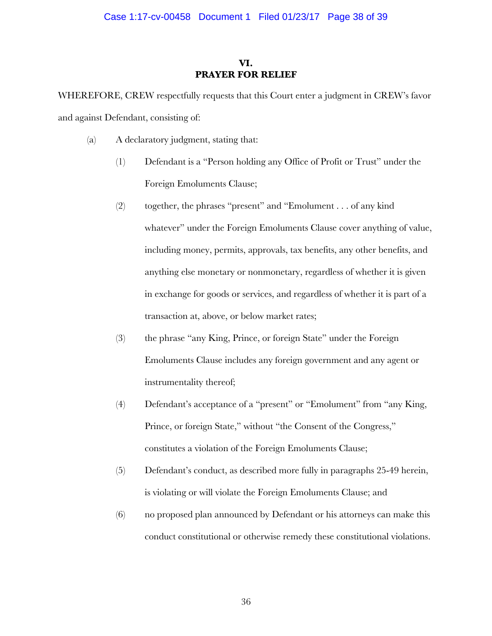# **VI. PRAYER FOR RELIEF**

WHEREFORE, CREW respectfully requests that this Court enter a judgment in CREW's favor and against Defendant, consisting of:

- (a) A declaratory judgment, stating that:
	- (1) Defendant is a "Person holding any Office of Profit or Trust" under the Foreign Emoluments Clause;
	- (2) together, the phrases "present" and "Emolument . . . of any kind whatever" under the Foreign Emoluments Clause cover anything of value, including money, permits, approvals, tax benefits, any other benefits, and anything else monetary or nonmonetary, regardless of whether it is given in exchange for goods or services, and regardless of whether it is part of a transaction at, above, or below market rates;
	- (3) the phrase "any King, Prince, or foreign State" under the Foreign Emoluments Clause includes any foreign government and any agent or instrumentality thereof;
	- (4) Defendant's acceptance of a "present" or "Emolument" from "any King, Prince, or foreign State," without "the Consent of the Congress," constitutes a violation of the Foreign Emoluments Clause;
	- (5) Defendant's conduct, as described more fully in paragraphs 25-49 herein, is violating or will violate the Foreign Emoluments Clause; and
	- (6) no proposed plan announced by Defendant or his attorneys can make this conduct constitutional or otherwise remedy these constitutional violations.